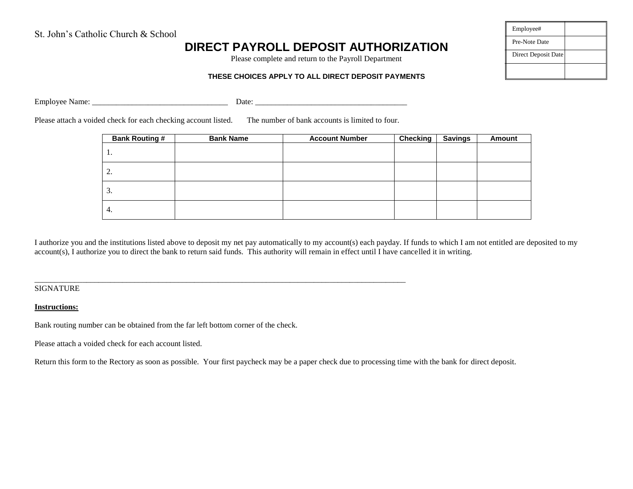## **DIRECT PAYROLL DEPOSIT AUTHORIZATION**

Please complete and return to the Payroll Department

# Employee# Pre-Note Date Direct Deposit Date

#### **THESE CHOICES APPLY TO ALL DIRECT DEPOSIT PAYMENTS**

Employee Name: \_\_\_\_\_\_\_\_\_\_\_\_\_\_\_\_\_\_\_\_\_\_\_\_\_\_\_\_\_\_\_\_\_\_ Date: \_\_\_\_\_\_\_\_\_\_\_\_\_\_\_\_\_\_\_\_\_\_\_\_\_\_\_\_\_\_\_\_\_\_\_\_\_\_

Please attach a voided check for each checking account listed. The number of bank accounts is limited to four.

\_\_\_\_\_\_\_\_\_\_\_\_\_\_\_\_\_\_\_\_\_\_\_\_\_\_\_\_\_\_\_\_\_\_\_\_\_\_\_\_\_\_\_\_\_\_\_\_\_\_\_\_\_\_\_\_\_\_\_\_\_\_\_\_\_\_\_\_\_\_\_\_\_\_\_\_\_\_\_\_\_\_\_\_\_\_\_\_\_\_\_\_\_

| <b>Bank Routing #</b> | <b>Bank Name</b> | <b>Account Number</b> | <b>Checking</b> | <b>Savings</b> | Amount |
|-----------------------|------------------|-----------------------|-----------------|----------------|--------|
| 1.                    |                  |                       |                 |                |        |
| 2.                    |                  |                       |                 |                |        |
| 3.                    |                  |                       |                 |                |        |
| 4.                    |                  |                       |                 |                |        |

I authorize you and the institutions listed above to deposit my net pay automatically to my account(s) each payday. If funds to which I am not entitled are deposited to my account(s), I authorize you to direct the bank to return said funds. This authority will remain in effect until I have cancelled it in writing.

**SIGNATURE** 

#### **Instructions:**

Bank routing number can be obtained from the far left bottom corner of the check.

Please attach a voided check for each account listed.

Return this form to the Rectory as soon as possible. Your first paycheck may be a paper check due to processing time with the bank for direct deposit.